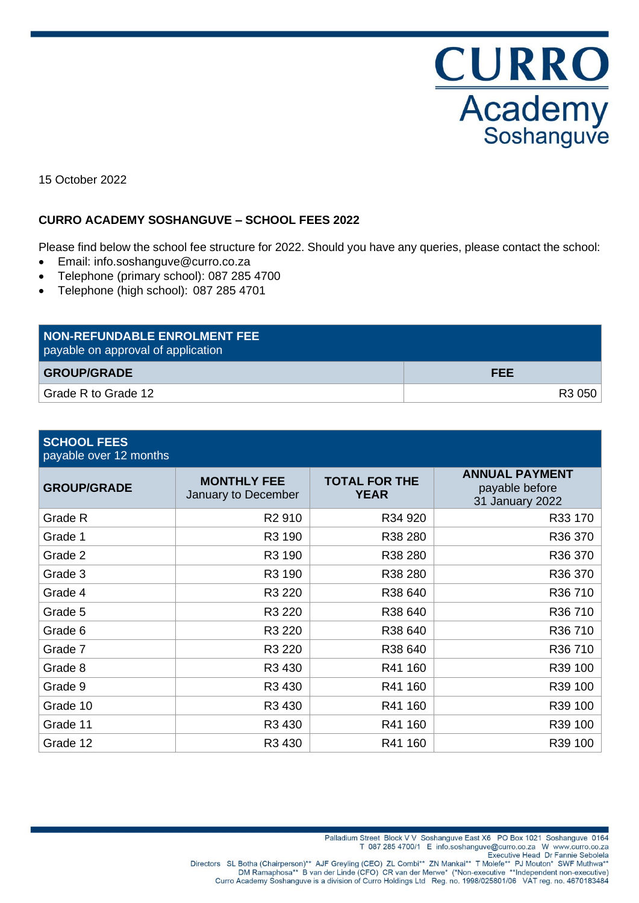

15 October 2022

# **CURRO ACADEMY SOSHANGUVE – SCHOOL FEES 2022**

Please find below the school fee structure for 2022. Should you have any queries, please contact the school:

- Email: info.soshanguve@curro.co.za
- Telephone (primary school): 087 285 4700
- Telephone (high school): 087 285 4701

| <b>NON-REFUNDABLE ENROLMENT FEE</b><br>payable on approval of application |            |
|---------------------------------------------------------------------------|------------|
| <b>GROUP/GRADE</b>                                                        | <b>FEE</b> |
| Grade R to Grade 12                                                       | R3 050     |

| <b>SCHOOL FEES</b><br>payable over 12 months |                                           |                                     |                                                            |
|----------------------------------------------|-------------------------------------------|-------------------------------------|------------------------------------------------------------|
| <b>GROUP/GRADE</b>                           | <b>MONTHLY FEE</b><br>January to December | <b>TOTAL FOR THE</b><br><b>YEAR</b> | <b>ANNUAL PAYMENT</b><br>payable before<br>31 January 2022 |
| Grade R                                      | R <sub>2</sub> 910                        | R34 920                             | R33 170                                                    |
| Grade 1                                      | R3 190                                    | R38 280                             | R36 370                                                    |
| Grade 2                                      | R3 190                                    | R38 280                             | R36 370                                                    |
| Grade 3                                      | R3 190                                    | R38 280                             | R36 370                                                    |
| Grade 4                                      | R3 220                                    | R38 640                             | R36 710                                                    |
| Grade 5                                      | R3 220                                    | R38 640                             | R36 710                                                    |
| Grade 6                                      | R3 220                                    | R38 640                             | R36 710                                                    |
| Grade 7                                      | R3 220                                    | R38 640                             | R36 710                                                    |
| Grade 8                                      | R3 430                                    | R41 160                             | R39 100                                                    |
| Grade 9                                      | R3 430                                    | R41 160                             | R39 100                                                    |
| Grade 10                                     | R3 430                                    | R41 160                             | R39 100                                                    |
| Grade 11                                     | R3 430                                    | R41 160                             | R39 100                                                    |
| Grade 12                                     | R <sub>3</sub> 430                        | R41 160                             | R39 100                                                    |

Palladium Street Block V V Soshanguve East X6 PO Box 1021 Soshanguve 0164

T 087 285 4700/1 E info.soshanguve@curro.co.za W www.curro.co.za

Executive Head Dr Fannie Sebolela

Directors SL Botha (Chairperson)\*\* AJF Greyling (CEO) ZL Combi\*\* ZN Mankai\*\* T Molefe\*\* PJ Mouton\* SWF Muthwa<br>DM Ramaphosa\*\* B van der Linde (CFO) CR van der Merwe\* (\*Non-executive \*\*Independent non-executive) Curro Academy Soshanguve is a division of Curro Holdings Ltd Reg. no. 1998/025801/06 VAT reg. no. 4670183484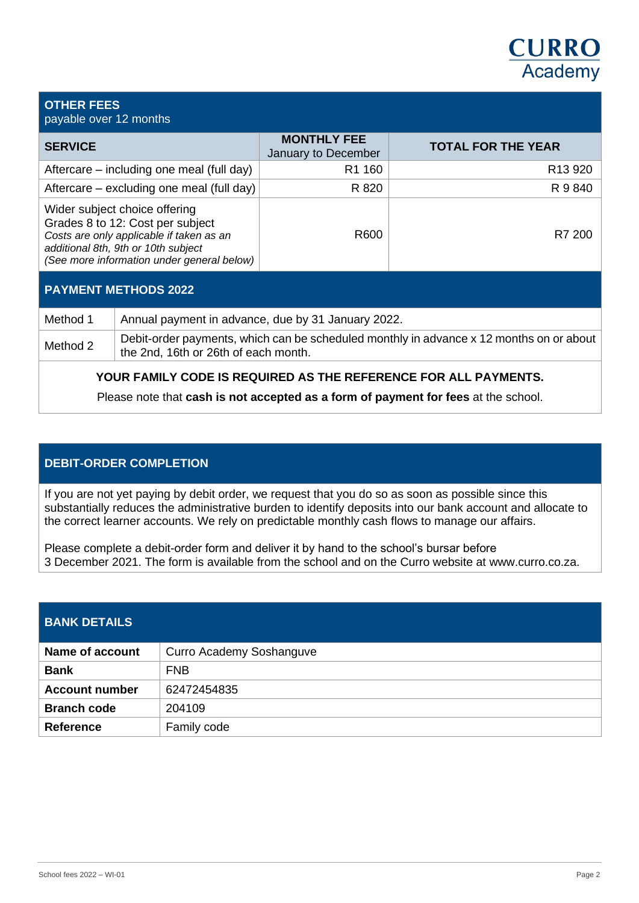# **CURRO** Academy

#### **OTHER FEES** payable over 12 months

| <b>SERVICE</b>                                                                                                                                                                                     | <b>MONTHLY FEE</b><br>January to December | <b>TOTAL FOR THE YEAR</b> |
|----------------------------------------------------------------------------------------------------------------------------------------------------------------------------------------------------|-------------------------------------------|---------------------------|
| Aftercare – including one meal (full day)                                                                                                                                                          | R <sub>1</sub> 160                        | R <sub>13</sub> 920       |
| Aftercare – excluding one meal (full day)                                                                                                                                                          | R 820                                     | R 9 840                   |
| Wider subject choice offering<br>Grades 8 to 12: Cost per subject<br>Costs are only applicable if taken as an<br>additional 8th, 9th or 10th subject<br>(See more information under general below) | R600                                      | R7 200                    |

# **PAYMENT METHODS 2022**

| Method 1 | Annual payment in advance, due by 31 January 2022.                                                                              |
|----------|---------------------------------------------------------------------------------------------------------------------------------|
| Method 2 | Debit-order payments, which can be scheduled monthly in advance x 12 months on or about<br>the 2nd, 16th or 26th of each month. |

# **YOUR FAMILY CODE IS REQUIRED AS THE REFERENCE FOR ALL PAYMENTS.**

Please note that **cash is not accepted as a form of payment for fees** at the school.

# **DEBIT-ORDER COMPLETION**

If you are not yet paying by debit order, we request that you do so as soon as possible since this substantially reduces the administrative burden to identify deposits into our bank account and allocate to the correct learner accounts. We rely on predictable monthly cash flows to manage our affairs.

Please complete a debit-order form and deliver it by hand to the school's bursar before 3 December 2021. The form is available from the school and on the Curro website at www.curro.co.za.

| <b>BANK DETAILS</b>    |                          |
|------------------------|--------------------------|
| <b>Name of account</b> | Curro Academy Soshanguve |
| <b>Bank</b>            | <b>FNB</b>               |
| <b>Account number</b>  | 62472454835              |
| <b>Branch code</b>     | 204109                   |
| <b>Reference</b>       | Family code              |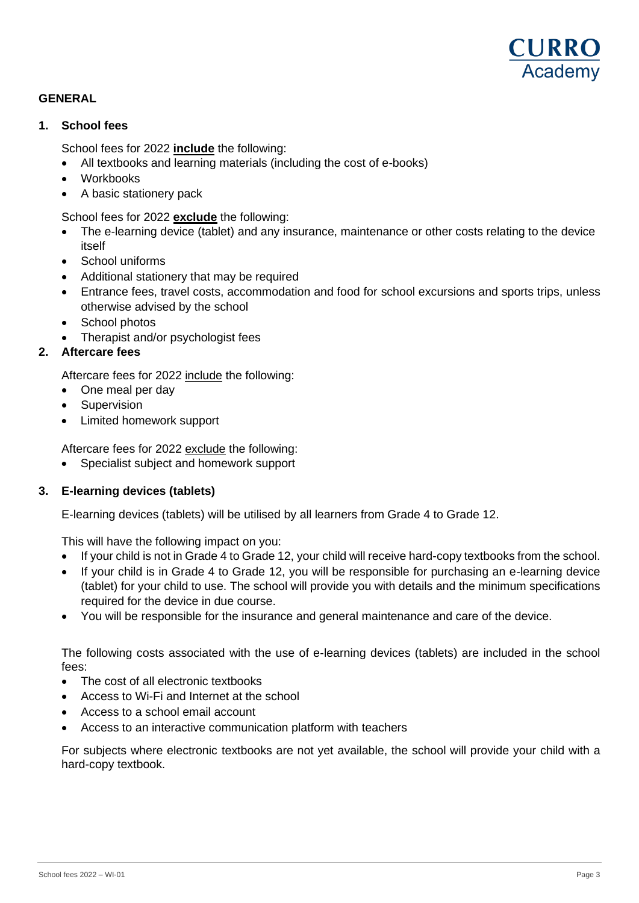

# **GENERAL**

### **1. School fees**

School fees for 2022 **include** the following:

- All textbooks and learning materials (including the cost of e-books)
- Workbooks
- A basic stationery pack

School fees for 2022 **exclude** the following:

- The e-learning device (tablet) and any insurance, maintenance or other costs relating to the device itself
- School uniforms
- Additional stationery that may be required
- Entrance fees, travel costs, accommodation and food for school excursions and sports trips, unless otherwise advised by the school
- School photos
- Therapist and/or psychologist fees

### **2. Aftercare fees**

Aftercare fees for 2022 include the following:

- One meal per day
- Supervision
- Limited homework support

Aftercare fees for 2022 exclude the following:

• Specialist subject and homework support

### **3. E-learning devices (tablets)**

E-learning devices (tablets) will be utilised by all learners from Grade 4 to Grade 12.

This will have the following impact on you:

- If your child is not in Grade 4 to Grade 12, your child will receive hard-copy textbooks from the school.
- If your child is in Grade 4 to Grade 12, you will be responsible for purchasing an e-learning device (tablet) for your child to use. The school will provide you with details and the minimum specifications required for the device in due course.
- You will be responsible for the insurance and general maintenance and care of the device.

The following costs associated with the use of e-learning devices (tablets) are included in the school fees:

- The cost of all electronic textbooks
- Access to Wi-Fi and Internet at the school
- Access to a school email account
- Access to an interactive communication platform with teachers

For subjects where electronic textbooks are not yet available, the school will provide your child with a hard-copy textbook.